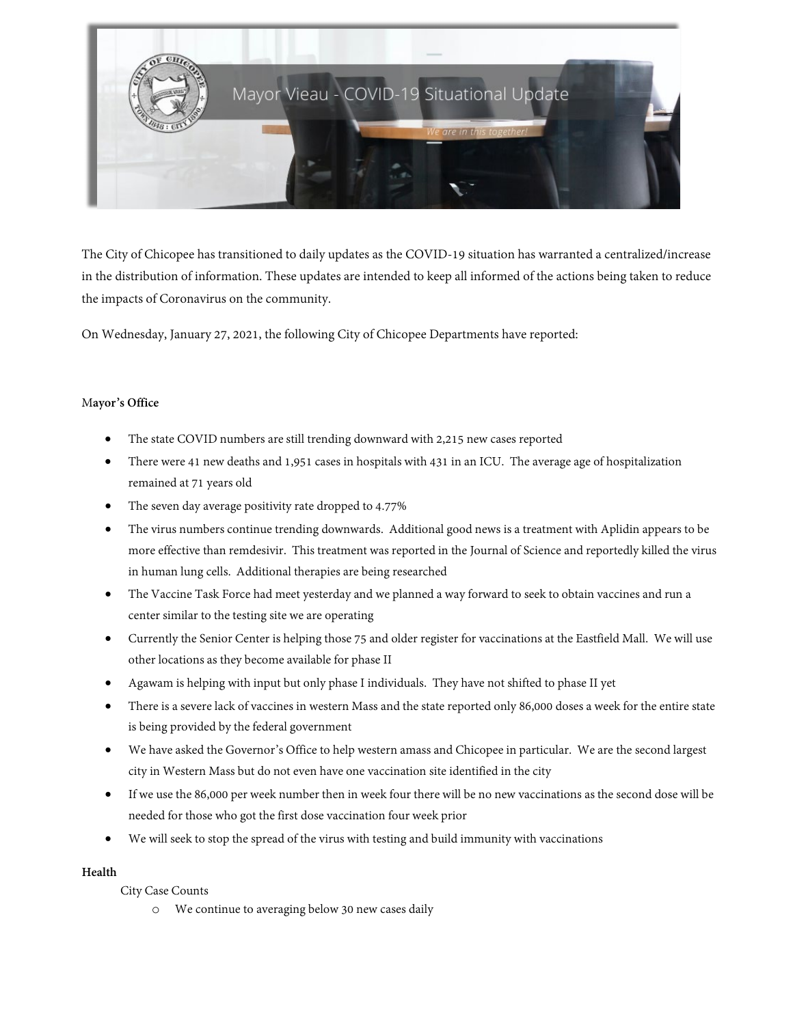

The City of Chicopee has transitioned to daily updates as the COVID-19 situation has warranted a centralized/increase in the distribution of information. These updates are intended to keep all informed of the actions being taken to reduce the impacts of Coronavirus on the community.

On Wednesday, January 27, 2021, the following City of Chicopee Departments have reported:

## M**ayor's Office**

- The state COVID numbers are still trending downward with 2,215 new cases reported
- There were 41 new deaths and 1,951 cases in hospitals with 431 in an ICU. The average age of hospitalization remained at 71 years old
- The seven day average positivity rate dropped to 4.77%
- The virus numbers continue trending downwards. Additional good news is a treatment with Aplidin appears to be more effective than remdesivir. This treatment was reported in the Journal of Science and reportedly killed the virus in human lung cells. Additional therapies are being researched
- The Vaccine Task Force had meet yesterday and we planned a way forward to seek to obtain vaccines and run a center similar to the testing site we are operating
- Currently the Senior Center is helping those 75 and older register for vaccinations at the Eastfield Mall. We will use other locations as they become available for phase II
- Agawam is helping with input but only phase I individuals. They have not shifted to phase II yet
- There is a severe lack of vaccines in western Mass and the state reported only 86,000 doses a week for the entire state is being provided by the federal government
- We have asked the Governor's Office to help western amass and Chicopee in particular. We are the second largest city in Western Mass but do not even have one vaccination site identified in the city
- If we use the 86,000 per week number then in week four there will be no new vaccinations as the second dose will be needed for those who got the first dose vaccination four week prior
- We will seek to stop the spread of the virus with testing and build immunity with vaccinations

### **Health**

City Case Counts

o We continue to averaging below 30 new cases daily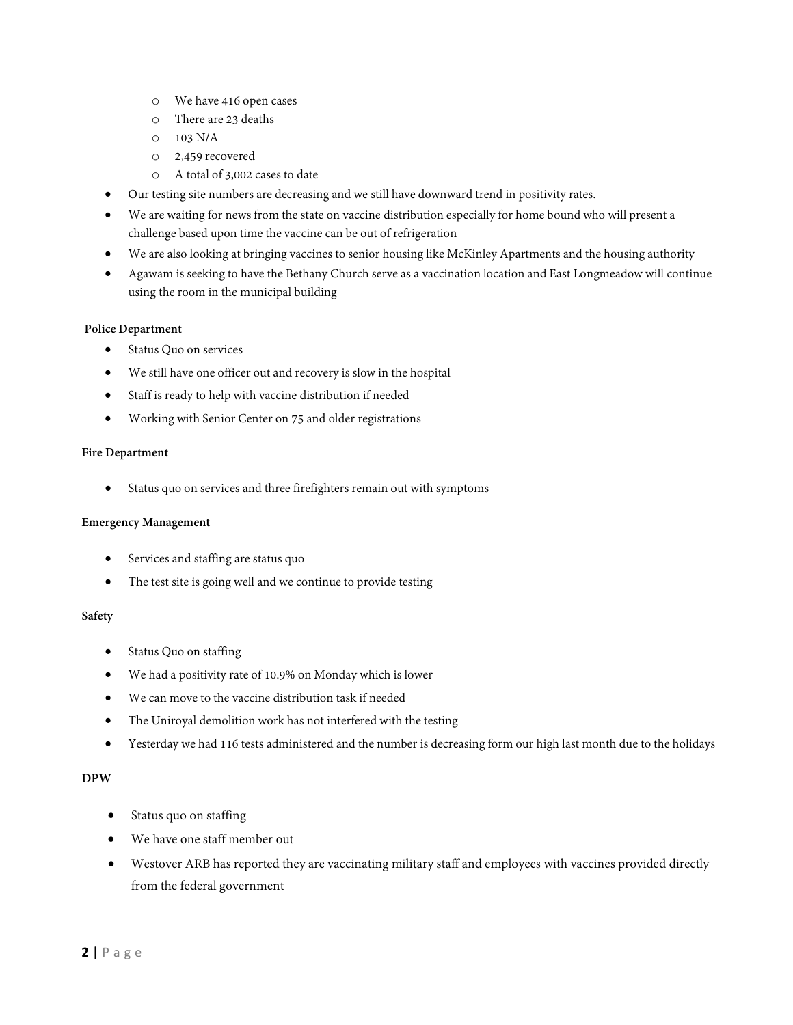- o We have 416 open cases
- o There are 23 deaths
- o 103 N/A
- o 2,459 recovered
- o A total of 3,002 cases to date
- Our testing site numbers are decreasing and we still have downward trend in positivity rates.
- We are waiting for news from the state on vaccine distribution especially for home bound who will present a challenge based upon time the vaccine can be out of refrigeration
- We are also looking at bringing vaccines to senior housing like McKinley Apartments and the housing authority
- Agawam is seeking to have the Bethany Church serve as a vaccination location and East Longmeadow will continue using the room in the municipal building

### **Police Department**

- Status Quo on services
- We still have one officer out and recovery is slow in the hospital
- Staff is ready to help with vaccine distribution if needed
- Working with Senior Center on 75 and older registrations

#### **Fire Department**

• Status quo on services and three firefighters remain out with symptoms

### **Emergency Management**

- Services and staffing are status quo
- The test site is going well and we continue to provide testing

### **Safety**

- Status Quo on staffing
- We had a positivity rate of 10.9% on Monday which is lower
- We can move to the vaccine distribution task if needed
- The Uniroyal demolition work has not interfered with the testing
- Yesterday we had 116 tests administered and the number is decreasing form our high last month due to the holidays

## **DPW**

- Status quo on staffing
- We have one staff member out
- Westover ARB has reported they are vaccinating military staff and employees with vaccines provided directly from the federal government